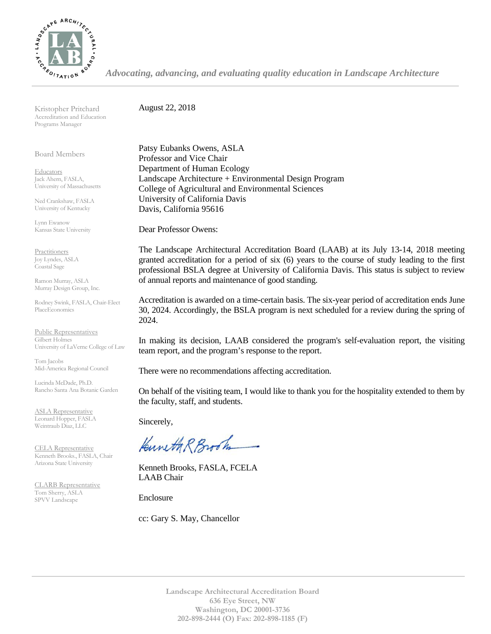

*Advocating, advancing, and evaluating quality education in Landscape Architecture*

Kristopher Pritchard Accreditation and Education Programs Manager

Board Members

**Educators** Jack Ahern, FASLA, University of Massachusetts

Ned Crankshaw, FASLA University of Kentucky

Lynn Ewanow Kansas State University

**Practitioners** Joy Lyndes, ASLA Coastal Sage

Ramon Murray, ASLA Murray Design Group, Inc.

Rodney Swink, FASLA, Chair-Elect PlaceEconomics

Public Representatives Gilbert Holmes University of LaVerne College of Law

Tom Jacobs Mid-America Regional Council

Lucinda McDade, Ph.D. Rancho Santa Ana Botanic Garden

ASLA Representative Leonard Hopper, FASLA Weintraub Diaz, LLC

CELA Representative Kenneth Brooks., FASLA, Chair Arizona State University

CLARB Representative Tom Sherry, ASLA SPVV Landscape

August 22, 2018

Patsy Eubanks Owens, ASLA Professor and Vice Chair Department of Human Ecology Landscape Architecture + Environmental Design Program College of Agricultural and Environmental Sciences University of California Davis Davis, California 95616

Dear Professor Owens:

The Landscape Architectural Accreditation Board (LAAB) at its July 13-14, 2018 meeting granted accreditation for a period of six (6) years to the course of study leading to the first professional BSLA degree at University of California Davis. This status is subject to review of annual reports and maintenance of good standing.

Accreditation is awarded on a time-certain basis. The six-year period of accreditation ends June 30, 2024. Accordingly, the BSLA program is next scheduled for a review during the spring of 2024.

In making its decision, LAAB considered the program's self-evaluation report, the visiting team report, and the program's response to the report.

There were no recommendations affecting accreditation.

On behalf of the visiting team, I would like to thank you for the hospitality extended to them by the faculty, staff, and students.

Sincerely,

Kuneth R Brook

Kenneth Brooks, FASLA, FCELA LAAB Chair

Enclosure

cc: Gary S. May, Chancellor

**Landscape Architectural Accreditation Board 636 Eye Street, NW Washington, DC 20001-3736 202-898-2444 (O) Fax: 202-898-1185 (F)**